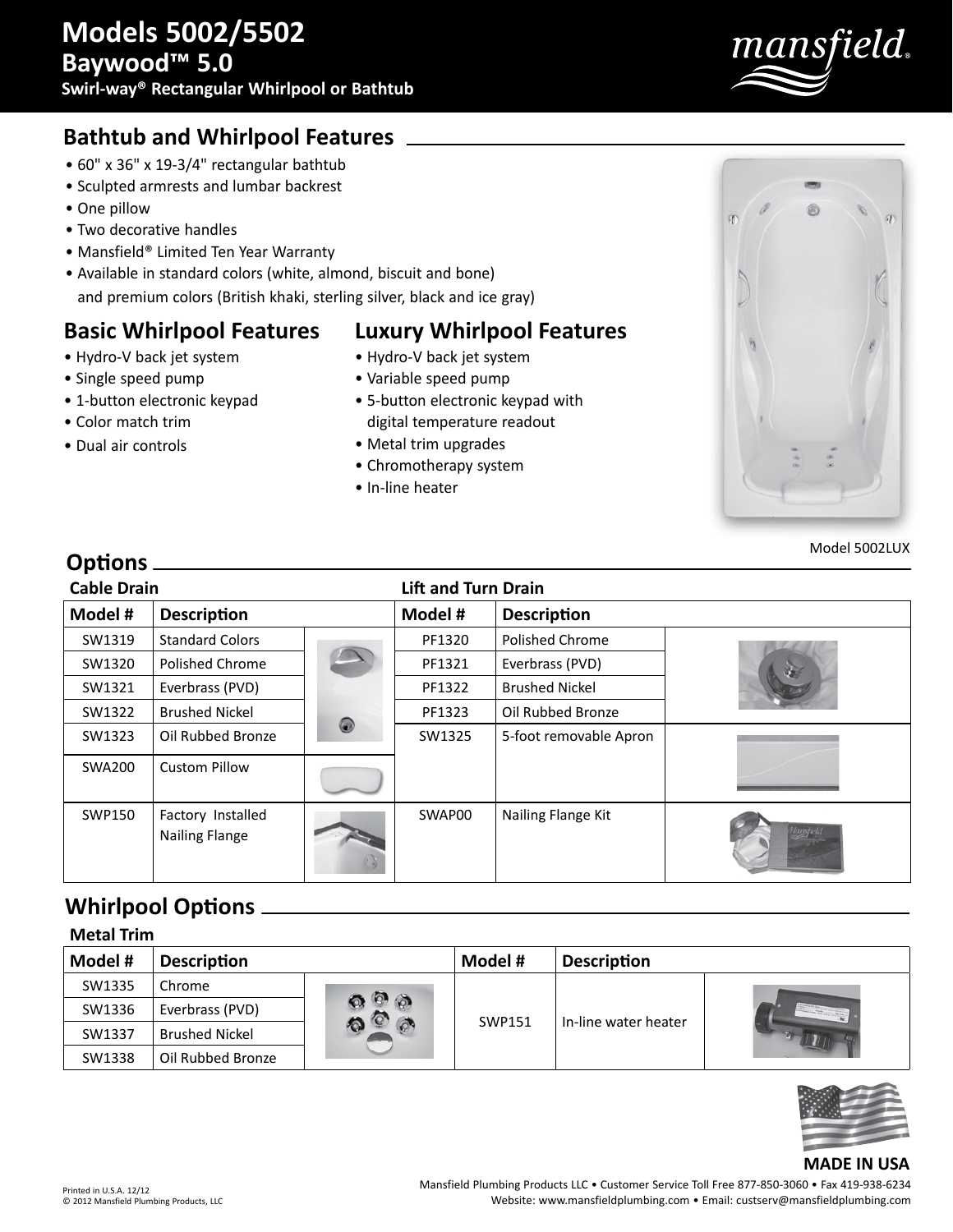

## **Bathtub and Whirlpool Features**

- 60" x 36" x 19-3/4" rectangular bathtub
- Sculpted armrests and lumbar backrest
- One pillow

**Options**

• Two decorative handles

• Hydro-V back jet system • Single speed pump

• Color match trim • Dual air controls

• 1-button electronic keypad

- Mansfield® Limited Ten Year Warranty
- Available in standard colors (white, almond, biscuit and bone) and premium colors (British khaki, sterling silver, black and ice gray)

### **Basic Whirlpool Features**

# **Luxury Whirlpool Features**

- Hydro-V back jet system
- Variable speed pump
- 5-button electronic keypad with digital temperature readout
- Metal trim upgrades
- Chromotherapy system
- In-line heater



Model 5002LUX

| <b>Cable Drain</b> |                                            |   | <b>Lift and Turn Drain</b> |                        |  |  |
|--------------------|--------------------------------------------|---|----------------------------|------------------------|--|--|
| Model #            | <b>Description</b>                         |   | Model #                    | <b>Description</b>     |  |  |
| SW1319             | <b>Standard Colors</b>                     |   | PF1320                     | Polished Chrome        |  |  |
| SW1320             | Polished Chrome                            |   | PF1321                     | Everbrass (PVD)        |  |  |
| SW1321             | Everbrass (PVD)                            |   | PF1322                     | <b>Brushed Nickel</b>  |  |  |
| SW1322             | <b>Brushed Nickel</b>                      |   | PF1323                     | Oil Rubbed Bronze      |  |  |
| SW1323             | Oil Rubbed Bronze                          | 0 | SW1325                     | 5-foot removable Apron |  |  |
| <b>SWA200</b>      | <b>Custom Pillow</b>                       |   |                            |                        |  |  |
| SWP150             | Factory Installed<br><b>Nailing Flange</b> |   | SWAP00                     | Nailing Flange Kit     |  |  |

### **Whirlpool Options**

| <b>Metal Trim</b> |                       |                                 |         |                      |  |  |
|-------------------|-----------------------|---------------------------------|---------|----------------------|--|--|
| Model #           | <b>Description</b>    |                                 | Model # | <b>Description</b>   |  |  |
| SW1335            | Chrome                | $\circledcirc$<br>$\mathcal{O}$ | SWP151  | In-line water heater |  |  |
| SW1336            | Everbrass (PVD)       |                                 |         |                      |  |  |
| SW1337            | <b>Brushed Nickel</b> |                                 |         |                      |  |  |
| SW1338            | Oil Rubbed Bronze     |                                 |         |                      |  |  |



#### **MADE IN USA**